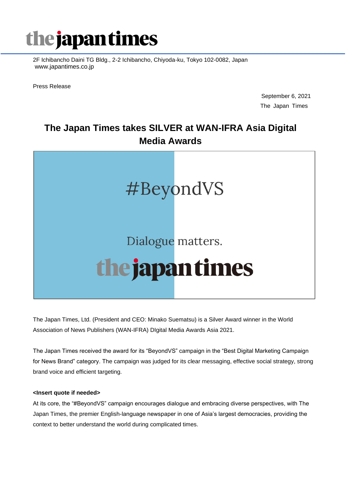

2F Ichibancho Daini TG Bldg., 2-2 Ichibancho, Chiyoda-ku, Tokyo 102-0082, Japan www.japantimes.co.jp

Press Release

September 6, 2021 The Japan Times

# **The Japan Times takes SILVER at WAN-IFRA Asia Digital Media Awards**



The Japan Times, Ltd. (President and CEO: Minako Suematsu) is a Silver Award winner in the World Association of News Publishers (WAN-IFRA) DIgital Media Awards Asia 2021.

The Japan Times received the award for its "BeyondVS" campaign in the "Best Digital Marketing Campaign for News Brand" category. The campaign was judged for its clear messaging, effective social strategy, strong brand voice and efficient targeting.

## **<Insert quote if needed>**

At its core, the "#BeyondVS" campaign encourages dialogue and embracing diverse perspectives, with The Japan Times, the premier English-language newspaper in one of Asia's largest democracies, providing the context to better understand the world during complicated times.